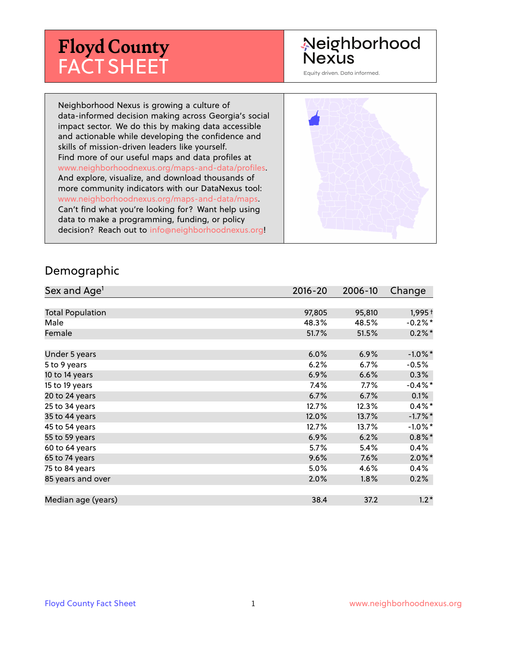# **Floyd County** FACT SHEET

# Neighborhood Nexus

Equity driven. Data informed.

Neighborhood Nexus is growing a culture of data-informed decision making across Georgia's social impact sector. We do this by making data accessible and actionable while developing the confidence and skills of mission-driven leaders like yourself. Find more of our useful maps and data profiles at www.neighborhoodnexus.org/maps-and-data/profiles. And explore, visualize, and download thousands of more community indicators with our DataNexus tool: www.neighborhoodnexus.org/maps-and-data/maps. Can't find what you're looking for? Want help using data to make a programming, funding, or policy decision? Reach out to [info@neighborhoodnexus.org!](mailto:info@neighborhoodnexus.org)



#### Demographic

| Sex and Age <sup>1</sup> | $2016 - 20$ | 2006-10 | Change     |
|--------------------------|-------------|---------|------------|
|                          |             |         |            |
| <b>Total Population</b>  | 97,805      | 95,810  | $1,995+$   |
| Male                     | 48.3%       | 48.5%   | $-0.2%$ *  |
| Female                   | 51.7%       | 51.5%   | $0.2\%$ *  |
|                          |             |         |            |
| Under 5 years            | 6.0%        | 6.9%    | $-1.0\%$ * |
| 5 to 9 years             | 6.2%        | 6.7%    | $-0.5%$    |
| 10 to 14 years           | 6.9%        | 6.6%    | $0.3\%$    |
| 15 to 19 years           | 7.4%        | $7.7\%$ | $-0.4\%$ * |
| 20 to 24 years           | 6.7%        | 6.7%    | 0.1%       |
| 25 to 34 years           | 12.7%       | 12.3%   | $0.4\%$ *  |
| 35 to 44 years           | 12.0%       | 13.7%   | $-1.7%$ *  |
| 45 to 54 years           | 12.7%       | 13.7%   | $-1.0\%$ * |
| 55 to 59 years           | 6.9%        | 6.2%    | $0.8\%$ *  |
| 60 to 64 years           | 5.7%        | 5.4%    | $0.4\%$    |
| 65 to 74 years           | 9.6%        | 7.6%    | $2.0\%$ *  |
| 75 to 84 years           | 5.0%        | 4.6%    | 0.4%       |
| 85 years and over        | 2.0%        | $1.8\%$ | 0.2%       |
|                          |             |         |            |
| Median age (years)       | 38.4        | 37.2    | $1.2*$     |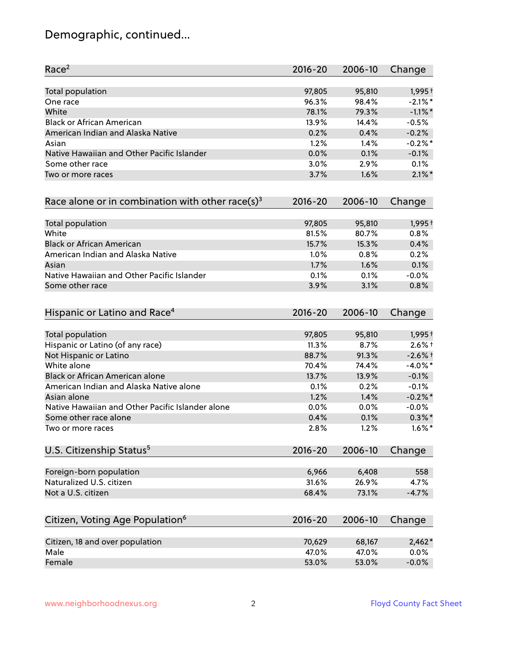# Demographic, continued...

| Race <sup>2</sup>                                            | $2016 - 20$ | 2006-10 | Change     |
|--------------------------------------------------------------|-------------|---------|------------|
| <b>Total population</b>                                      | 97,805      | 95,810  | $1,995+$   |
| One race                                                     | 96.3%       | 98.4%   | $-2.1\%$ * |
| White                                                        | 78.1%       | 79.3%   | $-1.1\%$ * |
| <b>Black or African American</b>                             | 13.9%       | 14.4%   | $-0.5%$    |
| American Indian and Alaska Native                            | 0.2%        | 0.4%    | $-0.2%$    |
| Asian                                                        | 1.2%        | 1.4%    | $-0.2%$ *  |
| Native Hawaiian and Other Pacific Islander                   | 0.0%        | 0.1%    | $-0.1%$    |
| Some other race                                              | 3.0%        | 2.9%    | 0.1%       |
| Two or more races                                            | 3.7%        | 1.6%    | $2.1\%$ *  |
| Race alone or in combination with other race(s) <sup>3</sup> | $2016 - 20$ | 2006-10 | Change     |
| Total population                                             | 97,805      | 95,810  | $1,995+$   |
| White                                                        | 81.5%       | 80.7%   | 0.8%       |
| <b>Black or African American</b>                             | 15.7%       | 15.3%   | 0.4%       |
| American Indian and Alaska Native                            | 1.0%        | 0.8%    | 0.2%       |
| Asian                                                        | 1.7%        | 1.6%    | 0.1%       |
| Native Hawaiian and Other Pacific Islander                   | 0.1%        | 0.1%    | $-0.0%$    |
| Some other race                                              | 3.9%        | 3.1%    | 0.8%       |
| Hispanic or Latino and Race <sup>4</sup>                     | $2016 - 20$ | 2006-10 | Change     |
| <b>Total population</b>                                      | 97,805      | 95,810  | $1,995+$   |
| Hispanic or Latino (of any race)                             | 11.3%       | 8.7%    | $2.6\%$ +  |
| Not Hispanic or Latino                                       | 88.7%       | 91.3%   | $-2.6%$ †  |
| White alone                                                  | 70.4%       | 74.4%   | $-4.0\%$ * |
| Black or African American alone                              | 13.7%       | 13.9%   | $-0.1%$    |
| American Indian and Alaska Native alone                      | 0.1%        | 0.2%    | $-0.1%$    |
| Asian alone                                                  | 1.2%        | 1.4%    | $-0.2%$ *  |
| Native Hawaiian and Other Pacific Islander alone             | 0.0%        | 0.0%    | $-0.0%$    |
| Some other race alone                                        | 0.4%        | 0.1%    | $0.3\%$ *  |
| Two or more races                                            | 2.8%        | 1.2%    | $1.6\%$ *  |
| U.S. Citizenship Status <sup>5</sup>                         | $2016 - 20$ | 2006-10 | Change     |
| Foreign-born population                                      | 6,966       | 6,408   | 558        |
| Naturalized U.S. citizen                                     | 31.6%       | 26.9%   | 4.7%       |
| Not a U.S. citizen                                           | 68.4%       | 73.1%   | $-4.7%$    |
|                                                              | $2016 - 20$ | 2006-10 |            |
| Citizen, Voting Age Population <sup>6</sup>                  |             |         | Change     |
| Citizen, 18 and over population                              | 70,629      | 68,167  | $2,462*$   |
| Male                                                         | 47.0%       | 47.0%   | 0.0%       |
| Female                                                       | 53.0%       | 53.0%   | $-0.0%$    |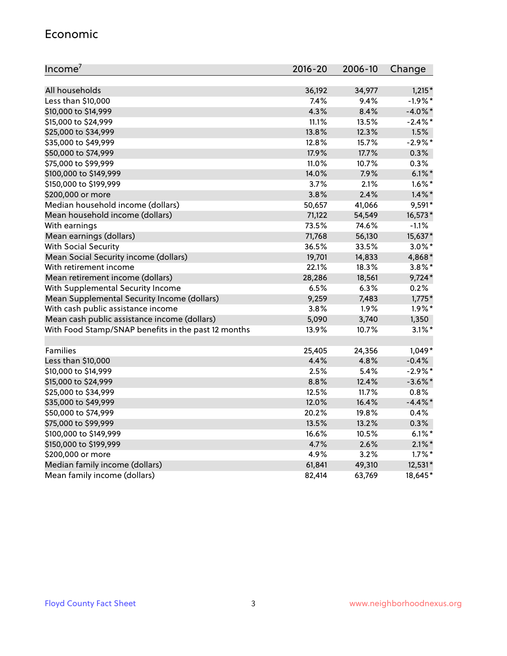#### Economic

| Income <sup>7</sup>                                 | 2016-20 | 2006-10 | Change     |
|-----------------------------------------------------|---------|---------|------------|
|                                                     |         |         |            |
| All households                                      | 36,192  | 34,977  | $1,215*$   |
| Less than \$10,000                                  | 7.4%    | 9.4%    | $-1.9%$ *  |
| \$10,000 to \$14,999                                | 4.3%    | 8.4%    | $-4.0\%$ * |
| \$15,000 to \$24,999                                | 11.1%   | 13.5%   | $-2.4\%$ * |
| \$25,000 to \$34,999                                | 13.8%   | 12.3%   | 1.5%       |
| \$35,000 to \$49,999                                | 12.8%   | 15.7%   | $-2.9\%$ * |
| \$50,000 to \$74,999                                | 17.9%   | 17.7%   | 0.3%       |
| \$75,000 to \$99,999                                | 11.0%   | 10.7%   | 0.3%       |
| \$100,000 to \$149,999                              | 14.0%   | 7.9%    | $6.1\%$ *  |
| \$150,000 to \$199,999                              | 3.7%    | 2.1%    | $1.6\%$ *  |
| \$200,000 or more                                   | 3.8%    | 2.4%    | $1.4\%$ *  |
| Median household income (dollars)                   | 50,657  | 41,066  | $9,591*$   |
| Mean household income (dollars)                     | 71,122  | 54,549  | 16,573*    |
| With earnings                                       | 73.5%   | 74.6%   | $-1.1%$    |
| Mean earnings (dollars)                             | 71,768  | 56,130  | 15,637*    |
| <b>With Social Security</b>                         | 36.5%   | 33.5%   | $3.0\%$ *  |
| Mean Social Security income (dollars)               | 19,701  | 14,833  | 4,868*     |
| With retirement income                              | 22.1%   | 18.3%   | $3.8\%$ *  |
| Mean retirement income (dollars)                    | 28,286  | 18,561  | $9,724*$   |
| With Supplemental Security Income                   | 6.5%    | 6.3%    | 0.2%       |
| Mean Supplemental Security Income (dollars)         | 9,259   | 7,483   | $1,775*$   |
| With cash public assistance income                  | 3.8%    | 1.9%    | $1.9\%$ *  |
| Mean cash public assistance income (dollars)        | 5,090   | 3,740   | 1,350      |
| With Food Stamp/SNAP benefits in the past 12 months | 13.9%   | 10.7%   | $3.1\%$ *  |
|                                                     |         |         |            |
| Families                                            | 25,405  | 24,356  | $1,049*$   |
| Less than \$10,000                                  | 4.4%    | 4.8%    | $-0.4%$    |
| \$10,000 to \$14,999                                | 2.5%    | 5.4%    | $-2.9\%$ * |
| \$15,000 to \$24,999                                | 8.8%    | 12.4%   | $-3.6\%$ * |
| \$25,000 to \$34,999                                | 12.5%   | 11.7%   | 0.8%       |
| \$35,000 to \$49,999                                | 12.0%   | 16.4%   | $-4.4\%$ * |
| \$50,000 to \$74,999                                | 20.2%   | 19.8%   | 0.4%       |
| \$75,000 to \$99,999                                | 13.5%   | 13.2%   | 0.3%       |
| \$100,000 to \$149,999                              | 16.6%   | 10.5%   | $6.1\%$ *  |
| \$150,000 to \$199,999                              | 4.7%    | 2.6%    | $2.1\%$ *  |
| \$200,000 or more                                   | 4.9%    | 3.2%    | $1.7\%$ *  |
| Median family income (dollars)                      | 61,841  | 49,310  | 12,531*    |
| Mean family income (dollars)                        | 82,414  | 63,769  | 18,645*    |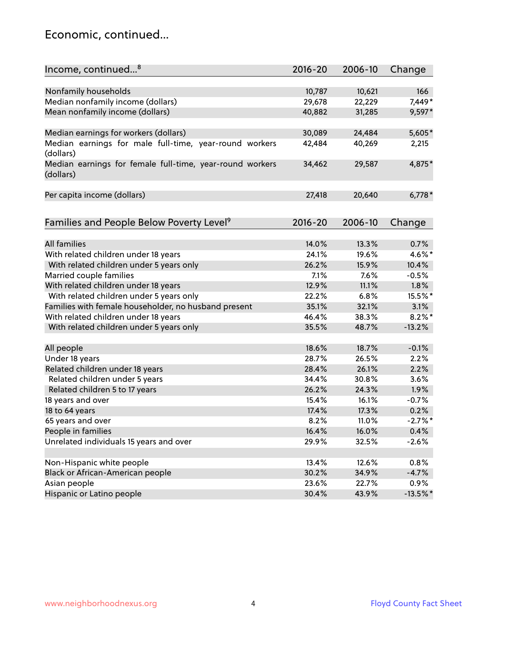### Economic, continued...

| Income, continued <sup>8</sup>                           | $2016 - 20$ | 2006-10 | Change      |
|----------------------------------------------------------|-------------|---------|-------------|
|                                                          |             |         |             |
| Nonfamily households                                     | 10,787      | 10,621  | 166         |
| Median nonfamily income (dollars)                        | 29,678      | 22,229  | 7,449*      |
| Mean nonfamily income (dollars)                          | 40,882      | 31,285  | $9,597*$    |
|                                                          |             |         |             |
| Median earnings for workers (dollars)                    | 30,089      | 24,484  | 5,605*      |
| Median earnings for male full-time, year-round workers   | 42,484      | 40,269  | 2,215       |
| (dollars)                                                |             |         |             |
| Median earnings for female full-time, year-round workers | 34,462      | 29,587  | 4,875*      |
| (dollars)                                                |             |         |             |
|                                                          |             |         |             |
| Per capita income (dollars)                              | 27,418      | 20,640  | $6,778*$    |
|                                                          |             |         |             |
| Families and People Below Poverty Level <sup>9</sup>     | $2016 - 20$ | 2006-10 | Change      |
|                                                          |             |         |             |
| <b>All families</b>                                      | 14.0%       | 13.3%   | 0.7%        |
| With related children under 18 years                     | 24.1%       | 19.6%   | 4.6%*       |
| With related children under 5 years only                 | 26.2%       | 15.9%   | 10.4%       |
| Married couple families                                  | 7.1%        | 7.6%    | $-0.5%$     |
| With related children under 18 years                     | 12.9%       | 11.1%   | 1.8%        |
| With related children under 5 years only                 | 22.2%       | 6.8%    | 15.5%*      |
| Families with female householder, no husband present     | 35.1%       | 32.1%   | 3.1%        |
| With related children under 18 years                     | 46.4%       | 38.3%   | $8.2\%$ *   |
| With related children under 5 years only                 | 35.5%       | 48.7%   | $-13.2%$    |
|                                                          |             |         |             |
| All people                                               | 18.6%       | 18.7%   | $-0.1%$     |
| Under 18 years                                           | 28.7%       | 26.5%   | 2.2%        |
| Related children under 18 years                          | 28.4%       | 26.1%   | 2.2%        |
| Related children under 5 years                           | 34.4%       | 30.8%   | 3.6%        |
| Related children 5 to 17 years                           | 26.2%       | 24.3%   | 1.9%        |
| 18 years and over                                        | 15.4%       | 16.1%   | $-0.7%$     |
| 18 to 64 years                                           | 17.4%       | 17.3%   | 0.2%        |
| 65 years and over                                        | 8.2%        | 11.0%   | $-2.7%$ *   |
| People in families                                       | 16.4%       | 16.0%   | 0.4%        |
| Unrelated individuals 15 years and over                  | 29.9%       | 32.5%   | $-2.6%$     |
|                                                          |             |         |             |
| Non-Hispanic white people                                | 13.4%       | 12.6%   | 0.8%        |
| Black or African-American people                         | 30.2%       | 34.9%   | $-4.7%$     |
| Asian people                                             | 23.6%       | 22.7%   | $0.9\%$     |
| Hispanic or Latino people                                | 30.4%       | 43.9%   | $-13.5\%$ * |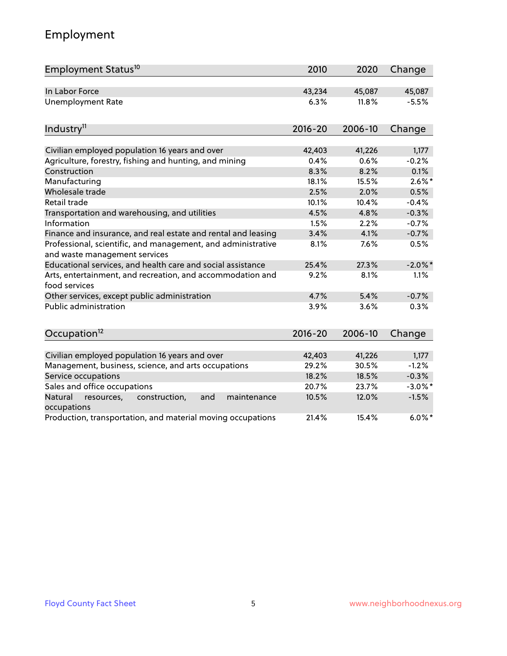# Employment

| Employment Status <sup>10</sup>                                                               | 2010        | 2020    | Change     |
|-----------------------------------------------------------------------------------------------|-------------|---------|------------|
| In Labor Force                                                                                | 43,234      | 45,087  | 45,087     |
| <b>Unemployment Rate</b>                                                                      | 6.3%        | 11.8%   | $-5.5%$    |
| Industry <sup>11</sup>                                                                        | $2016 - 20$ | 2006-10 | Change     |
| Civilian employed population 16 years and over                                                | 42,403      | 41,226  | 1,177      |
| Agriculture, forestry, fishing and hunting, and mining                                        | 0.4%        | 0.6%    | $-0.2%$    |
| Construction                                                                                  | 8.3%        | 8.2%    | 0.1%       |
| Manufacturing                                                                                 | 18.1%       | 15.5%   | $2.6\%$ *  |
| Wholesale trade                                                                               | 2.5%        | 2.0%    | 0.5%       |
| Retail trade                                                                                  | 10.1%       | 10.4%   | $-0.4%$    |
| Transportation and warehousing, and utilities                                                 | 4.5%        | 4.8%    | $-0.3%$    |
| Information                                                                                   | 1.5%        | 2.2%    | $-0.7%$    |
| Finance and insurance, and real estate and rental and leasing                                 | 3.4%        | 4.1%    | $-0.7%$    |
| Professional, scientific, and management, and administrative<br>and waste management services | 8.1%        | 7.6%    | 0.5%       |
| Educational services, and health care and social assistance                                   | 25.4%       | 27.3%   | $-2.0\%$ * |
| Arts, entertainment, and recreation, and accommodation and<br>food services                   | 9.2%        | 8.1%    | 1.1%       |
| Other services, except public administration                                                  | 4.7%        | 5.4%    | $-0.7%$    |
| <b>Public administration</b>                                                                  | 3.9%        | 3.6%    | 0.3%       |
| Occupation <sup>12</sup>                                                                      | $2016 - 20$ | 2006-10 | Change     |
|                                                                                               |             |         |            |
| Civilian employed population 16 years and over                                                | 42,403      | 41,226  | 1,177      |
| Management, business, science, and arts occupations                                           | 29.2%       | 30.5%   | $-1.2%$    |
| Service occupations                                                                           | 18.2%       | 18.5%   | $-0.3%$    |
| Sales and office occupations                                                                  | 20.7%       | 23.7%   | $-3.0\%$ * |
| Natural<br>resources,<br>construction,<br>and<br>maintenance<br>occupations                   | 10.5%       | 12.0%   | $-1.5%$    |
| Production, transportation, and material moving occupations                                   | 21.4%       | 15.4%   | $6.0\%$ *  |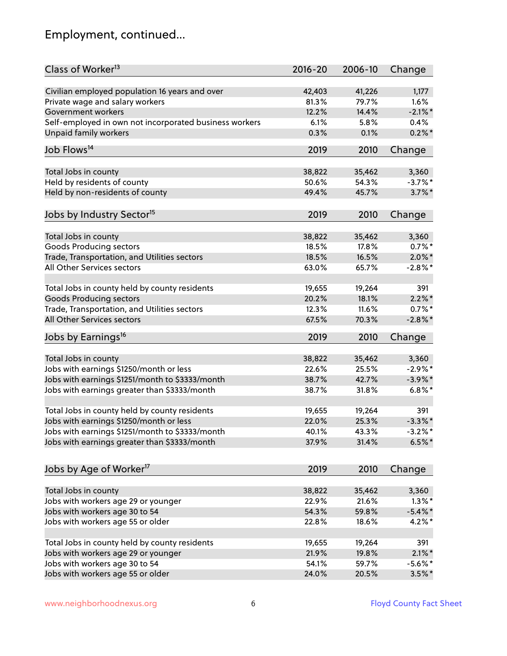# Employment, continued...

| Class of Worker <sup>13</sup>                          | 2016-20 | 2006-10 | Change     |
|--------------------------------------------------------|---------|---------|------------|
| Civilian employed population 16 years and over         | 42,403  | 41,226  | 1,177      |
| Private wage and salary workers                        | 81.3%   | 79.7%   | 1.6%       |
| Government workers                                     | 12.2%   | 14.4%   | $-2.1\%$ * |
| Self-employed in own not incorporated business workers | 6.1%    | 5.8%    | 0.4%       |
| Unpaid family workers                                  | 0.3%    | 0.1%    | $0.2\%$ *  |
|                                                        |         |         |            |
| Job Flows <sup>14</sup>                                | 2019    | 2010    | Change     |
| Total Jobs in county                                   | 38,822  | 35,462  | 3,360      |
| Held by residents of county                            | 50.6%   | 54.3%   | $-3.7%$ *  |
| Held by non-residents of county                        | 49.4%   | 45.7%   | $3.7\%$ *  |
| Jobs by Industry Sector <sup>15</sup>                  | 2019    | 2010    | Change     |
|                                                        |         |         |            |
| Total Jobs in county                                   | 38,822  | 35,462  | 3,360      |
| <b>Goods Producing sectors</b>                         | 18.5%   | 17.8%   | $0.7%$ *   |
| Trade, Transportation, and Utilities sectors           | 18.5%   | 16.5%   | $2.0\%$ *  |
| All Other Services sectors                             | 63.0%   | 65.7%   | $-2.8\%$ * |
|                                                        |         |         |            |
| Total Jobs in county held by county residents          | 19,655  | 19,264  | 391        |
| <b>Goods Producing sectors</b>                         | 20.2%   | 18.1%   | $2.2\%$ *  |
| Trade, Transportation, and Utilities sectors           | 12.3%   | 11.6%   | $0.7%$ *   |
| All Other Services sectors                             | 67.5%   | 70.3%   | $-2.8\%$ * |
| Jobs by Earnings <sup>16</sup>                         | 2019    | 2010    | Change     |
| Total Jobs in county                                   | 38,822  | 35,462  | 3,360      |
| Jobs with earnings \$1250/month or less                | 22.6%   | 25.5%   | $-2.9%$ *  |
| Jobs with earnings \$1251/month to \$3333/month        | 38.7%   | 42.7%   | $-3.9\%$ * |
| Jobs with earnings greater than \$3333/month           | 38.7%   | 31.8%   | $6.8\%$ *  |
|                                                        |         |         |            |
| Total Jobs in county held by county residents          | 19,655  | 19,264  | 391        |
| Jobs with earnings \$1250/month or less                | 22.0%   | 25.3%   | $-3.3\%$ * |
| Jobs with earnings \$1251/month to \$3333/month        | 40.1%   | 43.3%   | $-3.2\%$ * |
| Jobs with earnings greater than \$3333/month           | 37.9%   | 31.4%   | $6.5%$ *   |
| Jobs by Age of Worker <sup>17</sup>                    | 2019    | 2010    | Change     |
|                                                        |         |         |            |
| Total Jobs in county                                   | 38,822  | 35,462  | 3,360      |
| Jobs with workers age 29 or younger                    | 22.9%   | 21.6%   | $1.3\%$ *  |
| Jobs with workers age 30 to 54                         | 54.3%   | 59.8%   | $-5.4\%$ * |
| Jobs with workers age 55 or older                      | 22.8%   | 18.6%   | 4.2%*      |
| Total Jobs in county held by county residents          | 19,655  | 19,264  | 391        |
| Jobs with workers age 29 or younger                    | 21.9%   | 19.8%   | $2.1\%$ *  |
| Jobs with workers age 30 to 54                         | 54.1%   | 59.7%   | $-5.6\%$ * |
| Jobs with workers age 55 or older                      | 24.0%   | 20.5%   | $3.5\%$ *  |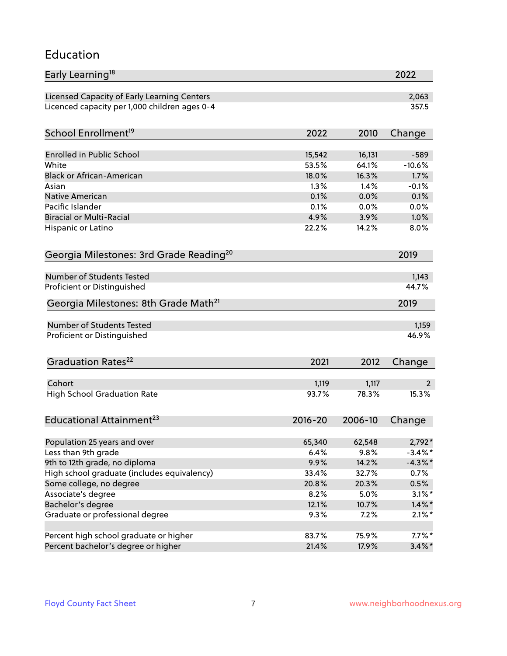#### Education

| Early Learning <sup>18</sup>                        |                |                | 2022           |
|-----------------------------------------------------|----------------|----------------|----------------|
| Licensed Capacity of Early Learning Centers         |                |                | 2,063          |
| Licenced capacity per 1,000 children ages 0-4       |                |                | 357.5          |
| School Enrollment <sup>19</sup>                     | 2022           | 2010           | Change         |
|                                                     |                |                |                |
| <b>Enrolled in Public School</b>                    | 15,542         | 16,131         | $-589$         |
| White<br><b>Black or African-American</b>           | 53.5%          | 64.1%          | $-10.6%$       |
|                                                     | 18.0%          | 16.3%<br>1.4%  | 1.7%           |
| Asian                                               | 1.3%           |                | $-0.1%$        |
| <b>Native American</b><br>Pacific Islander          | 0.1%<br>0.1%   | 0.0%           | 0.1%           |
|                                                     |                | 0.0%           | 0.0%           |
| <b>Biracial or Multi-Racial</b>                     | 4.9%           | 3.9%           | 1.0%           |
| Hispanic or Latino                                  | 22.2%          | 14.2%          | 8.0%           |
| Georgia Milestones: 3rd Grade Reading <sup>20</sup> |                |                | 2019           |
| Number of Students Tested                           |                |                | 1,143          |
| Proficient or Distinguished                         |                |                | 44.7%          |
| Georgia Milestones: 8th Grade Math <sup>21</sup>    |                |                | 2019           |
|                                                     |                |                |                |
| Number of Students Tested                           |                |                | 1,159          |
| Proficient or Distinguished                         |                |                | 46.9%          |
| Graduation Rates <sup>22</sup>                      | 2021           | 2012           | Change         |
| Cohort                                              |                |                | $\overline{2}$ |
|                                                     | 1,119<br>93.7% | 1,117<br>78.3% | 15.3%          |
| <b>High School Graduation Rate</b>                  |                |                |                |
| Educational Attainment <sup>23</sup>                | $2016 - 20$    | 2006-10        | Change         |
| Population 25 years and over                        | 65,340         | 62,548         | 2,792*         |
| Less than 9th grade                                 | 6.4%           | 9.8%           | $-3.4\%$ *     |
| 9th to 12th grade, no diploma                       | 9.9%           | 14.2%          | $-4.3\%$ *     |
| High school graduate (includes equivalency)         | 33.4%          | 32.7%          | 0.7%           |
| Some college, no degree                             | 20.8%          | 20.3%          | 0.5%           |
| Associate's degree                                  | 8.2%           | 5.0%           | $3.1\%$ *      |
| Bachelor's degree                                   | 12.1%          | 10.7%          | $1.4\%$ *      |
| Graduate or professional degree                     | 9.3%           | 7.2%           | $2.1\%$ *      |
|                                                     |                |                |                |
| Percent high school graduate or higher              | 83.7%          | 75.9%          | $7.7\%$ *      |
| Percent bachelor's degree or higher                 | 21.4%          | 17.9%          | $3.4\%$ *      |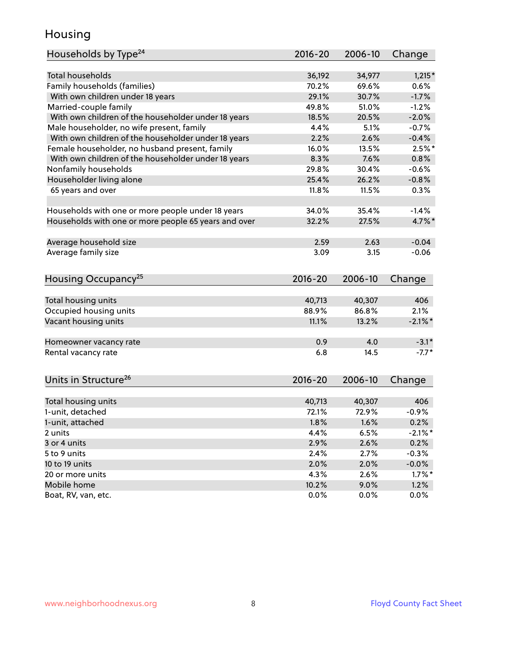### Housing

| Households by Type <sup>24</sup>                     | 2016-20     | 2006-10 | Change     |
|------------------------------------------------------|-------------|---------|------------|
|                                                      |             |         |            |
| <b>Total households</b>                              | 36,192      | 34,977  | $1,215*$   |
| Family households (families)                         | 70.2%       | 69.6%   | 0.6%       |
| With own children under 18 years                     | 29.1%       | 30.7%   | $-1.7%$    |
| Married-couple family                                | 49.8%       | 51.0%   | $-1.2%$    |
| With own children of the householder under 18 years  | 18.5%       | 20.5%   | $-2.0%$    |
| Male householder, no wife present, family            | 4.4%        | 5.1%    | $-0.7%$    |
| With own children of the householder under 18 years  | 2.2%        | 2.6%    | $-0.4%$    |
| Female householder, no husband present, family       | 16.0%       | 13.5%   | $2.5%$ *   |
| With own children of the householder under 18 years  | 8.3%        | 7.6%    | 0.8%       |
| Nonfamily households                                 | 29.8%       | 30.4%   | $-0.6%$    |
| Householder living alone                             | 25.4%       | 26.2%   | $-0.8%$    |
| 65 years and over                                    | 11.8%       | 11.5%   | 0.3%       |
|                                                      |             |         |            |
| Households with one or more people under 18 years    | 34.0%       | 35.4%   | $-1.4%$    |
| Households with one or more people 65 years and over | 32.2%       | 27.5%   | 4.7%*      |
|                                                      |             |         |            |
| Average household size                               | 2.59        | 2.63    | $-0.04$    |
| Average family size                                  | 3.09        | 3.15    | $-0.06$    |
|                                                      |             |         |            |
| Housing Occupancy <sup>25</sup>                      | $2016 - 20$ | 2006-10 | Change     |
|                                                      |             |         |            |
| Total housing units                                  | 40,713      | 40,307  | 406        |
| Occupied housing units                               | 88.9%       | 86.8%   | 2.1%       |
| Vacant housing units                                 | 11.1%       | 13.2%   | $-2.1\%$ * |
|                                                      |             |         |            |
| Homeowner vacancy rate                               | 0.9         | 4.0     | $-3.1*$    |
| Rental vacancy rate                                  | 6.8         | 14.5    | $-7.7*$    |
|                                                      |             |         |            |
| Units in Structure <sup>26</sup>                     |             |         |            |
|                                                      | 2016-20     | 2006-10 | Change     |
| Total housing units                                  | 40,713      | 40,307  | 406        |
| 1-unit, detached                                     | 72.1%       | 72.9%   | $-0.9%$    |
| 1-unit, attached                                     | 1.8%        | 1.6%    | 0.2%       |
| 2 units                                              | 4.4%        | 6.5%    | $-2.1\%$ * |
| 3 or 4 units                                         | 2.9%        | 2.6%    | 0.2%       |
| 5 to 9 units                                         | 2.4%        | 2.7%    | $-0.3%$    |
| 10 to 19 units                                       | 2.0%        | 2.0%    | $-0.0%$    |
|                                                      |             |         |            |
| 20 or more units                                     | 4.3%        | 2.6%    | $1.7\%$ *  |
| Mobile home                                          | 10.2%       | 9.0%    | 1.2%       |
| Boat, RV, van, etc.                                  | 0.0%        | $0.0\%$ | 0.0%       |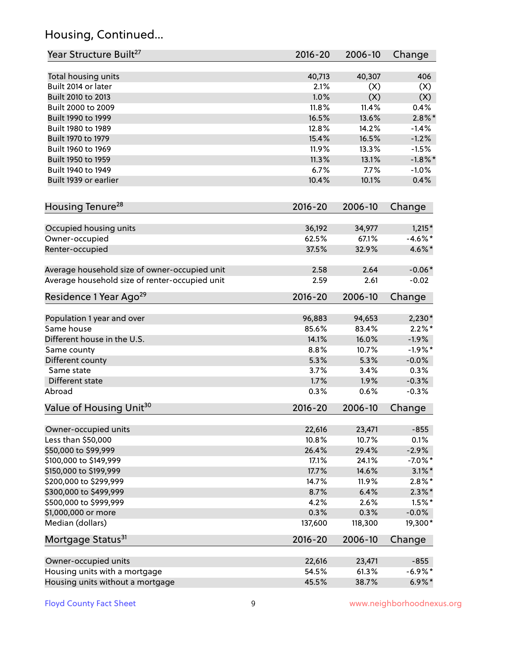# Housing, Continued...

| Year Structure Built <sup>27</sup>             | 2016-20     | 2006-10 | Change     |
|------------------------------------------------|-------------|---------|------------|
| Total housing units                            | 40,713      | 40,307  | 406        |
| Built 2014 or later                            | 2.1%        | (X)     | (X)        |
| Built 2010 to 2013                             | 1.0%        | (X)     | (X)        |
| Built 2000 to 2009                             | 11.8%       | 11.4%   | 0.4%       |
| Built 1990 to 1999                             | 16.5%       | 13.6%   | $2.8\%$ *  |
| Built 1980 to 1989                             | 12.8%       | 14.2%   | $-1.4%$    |
| Built 1970 to 1979                             | 15.4%       | 16.5%   | $-1.2%$    |
| Built 1960 to 1969                             | 11.9%       | 13.3%   | $-1.5%$    |
| Built 1950 to 1959                             | 11.3%       | 13.1%   | $-1.8\%$ * |
| Built 1940 to 1949                             | 6.7%        | 7.7%    | $-1.0%$    |
| Built 1939 or earlier                          | 10.4%       | 10.1%   | 0.4%       |
|                                                |             |         |            |
| Housing Tenure <sup>28</sup>                   | $2016 - 20$ | 2006-10 | Change     |
| Occupied housing units                         | 36,192      | 34,977  | $1,215*$   |
| Owner-occupied                                 | 62.5%       | 67.1%   | $-4.6\%$ * |
| Renter-occupied                                | 37.5%       | 32.9%   | 4.6%*      |
| Average household size of owner-occupied unit  | 2.58        | 2.64    | $-0.06*$   |
| Average household size of renter-occupied unit | 2.59        | 2.61    | $-0.02$    |
| Residence 1 Year Ago <sup>29</sup>             | $2016 - 20$ | 2006-10 | Change     |
| Population 1 year and over                     | 96,883      | 94,653  | $2,230*$   |
| Same house                                     | 85.6%       | 83.4%   | $2.2\%$ *  |
| Different house in the U.S.                    | 14.1%       | 16.0%   | $-1.9%$    |
| Same county                                    | 8.8%        | 10.7%   | $-1.9%$ *  |
| Different county                               | 5.3%        | 5.3%    | $-0.0%$    |
| Same state                                     | 3.7%        | 3.4%    | 0.3%       |
| Different state                                | 1.7%        | 1.9%    | $-0.3%$    |
| Abroad                                         | 0.3%        | 0.6%    | $-0.3%$    |
|                                                |             |         |            |
| Value of Housing Unit <sup>30</sup>            | $2016 - 20$ | 2006-10 | Change     |
| Owner-occupied units                           | 22,616      | 23,471  | $-855$     |
| Less than \$50,000                             | 10.8%       | 10.7%   | 0.1%       |
| \$50,000 to \$99,999                           | 26.4%       | 29.4%   | $-2.9%$    |
| \$100,000 to \$149,999                         | 17.1%       | 24.1%   | $-7.0\%$ * |
| \$150,000 to \$199,999                         | 17.7%       | 14.6%   | $3.1\%$ *  |
| \$200,000 to \$299,999                         | 14.7%       | 11.9%   | $2.8\%$ *  |
| \$300,000 to \$499,999                         | 8.7%        | 6.4%    | $2.3\%*$   |
| \$500,000 to \$999,999                         | 4.2%        | 2.6%    | $1.5\%$ *  |
| \$1,000,000 or more                            | 0.3%        | 0.3%    | $-0.0%$    |
| Median (dollars)                               | 137,600     | 118,300 | 19,300*    |
| Mortgage Status <sup>31</sup>                  | $2016 - 20$ | 2006-10 | Change     |
| Owner-occupied units                           | 22,616      | 23,471  | $-855$     |
| Housing units with a mortgage                  | 54.5%       | 61.3%   | $-6.9\%$ * |
| Housing units without a mortgage               | 45.5%       | 38.7%   | $6.9\% *$  |
|                                                |             |         |            |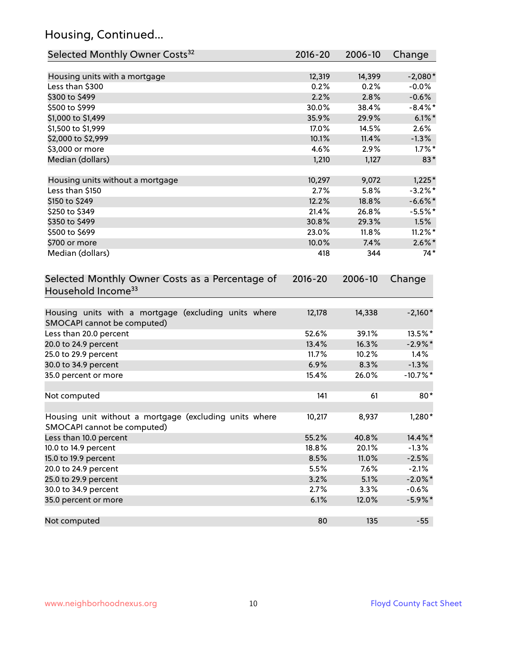# Housing, Continued...

| Selected Monthly Owner Costs <sup>32</sup>                                            | $2016 - 20$ | 2006-10 | Change     |
|---------------------------------------------------------------------------------------|-------------|---------|------------|
| Housing units with a mortgage                                                         | 12,319      | 14,399  | $-2,080*$  |
| Less than \$300                                                                       | 0.2%        | 0.2%    | $-0.0%$    |
| \$300 to \$499                                                                        | 2.2%        | 2.8%    | $-0.6%$    |
| \$500 to \$999                                                                        | 30.0%       | 38.4%   | $-8.4\%$ * |
| \$1,000 to \$1,499                                                                    | 35.9%       | 29.9%   | $6.1\%$ *  |
| \$1,500 to \$1,999                                                                    | 17.0%       | 14.5%   | 2.6%       |
| \$2,000 to \$2,999                                                                    | 10.1%       | 11.4%   | $-1.3%$    |
| \$3,000 or more                                                                       | 4.6%        | 2.9%    | $1.7\%$ *  |
| Median (dollars)                                                                      | 1,210       | 1,127   | 83*        |
| Housing units without a mortgage                                                      | 10,297      | 9,072   | $1,225*$   |
| Less than \$150                                                                       | 2.7%        | 5.8%    | $-3.2%$ *  |
| \$150 to \$249                                                                        | 12.2%       | 18.8%   | $-6.6\%$ * |
| \$250 to \$349                                                                        | 21.4%       | 26.8%   | $-5.5%$ *  |
| \$350 to \$499                                                                        | 30.8%       | 29.3%   | 1.5%       |
| \$500 to \$699                                                                        | 23.0%       | 11.8%   | $11.2\%$ * |
| \$700 or more                                                                         | 10.0%       | 7.4%    | $2.6\%$ *  |
| Median (dollars)                                                                      | 418         | 344     | $74*$      |
| Selected Monthly Owner Costs as a Percentage of<br>Household Income <sup>33</sup>     | $2016 - 20$ | 2006-10 | Change     |
| Housing units with a mortgage (excluding units where<br>SMOCAPI cannot be computed)   | 12,178      | 14,338  | $-2,160*$  |
| Less than 20.0 percent                                                                | 52.6%       | 39.1%   | 13.5%*     |
| 20.0 to 24.9 percent                                                                  | 13.4%       | 16.3%   | $-2.9\%$ * |
| 25.0 to 29.9 percent                                                                  | 11.7%       | 10.2%   | 1.4%       |
| 30.0 to 34.9 percent                                                                  | 6.9%        | 8.3%    | $-1.3%$    |
| 35.0 percent or more                                                                  | 15.4%       | 26.0%   | $-10.7%$ * |
| Not computed                                                                          | 141         | 61      | $80*$      |
| Housing unit without a mortgage (excluding units where<br>SMOCAPI cannot be computed) | 10,217      | 8,937   | 1,280*     |
| Less than 10.0 percent                                                                | 55.2%       | 40.8%   | 14.4%*     |
| 10.0 to 14.9 percent                                                                  | 18.8%       | 20.1%   | $-1.3%$    |
| 15.0 to 19.9 percent                                                                  | 8.5%        | 11.0%   | $-2.5%$    |
| 20.0 to 24.9 percent                                                                  | 5.5%        | 7.6%    | $-2.1%$    |
| 25.0 to 29.9 percent                                                                  | 3.2%        | 5.1%    | $-2.0\%$ * |
| 30.0 to 34.9 percent                                                                  | 2.7%        | 3.3%    | $-0.6%$    |
| 35.0 percent or more                                                                  | 6.1%        | 12.0%   | $-5.9\%$ * |
| Not computed                                                                          | 80          | 135     | $-55$      |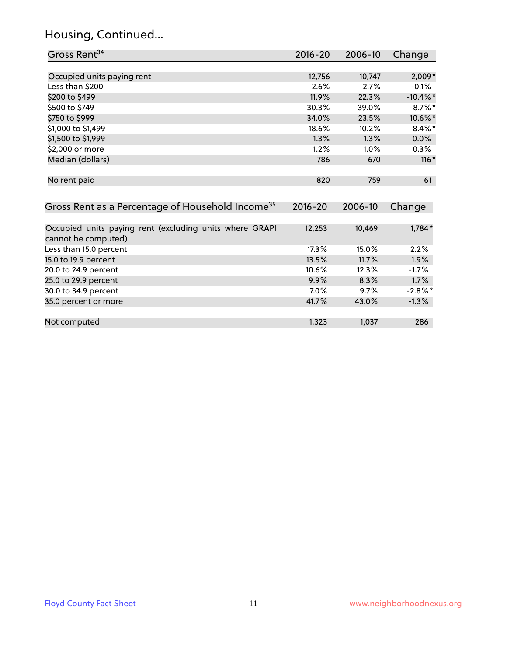# Housing, Continued...

| Gross Rent <sup>34</sup>                                                       | $2016 - 20$ | 2006-10 | Change      |
|--------------------------------------------------------------------------------|-------------|---------|-------------|
|                                                                                |             |         |             |
| Occupied units paying rent                                                     | 12,756      | 10,747  | $2,009*$    |
| Less than \$200                                                                | 2.6%        | 2.7%    | $-0.1%$     |
| \$200 to \$499                                                                 | 11.9%       | 22.3%   | $-10.4\%$ * |
| \$500 to \$749                                                                 | 30.3%       | 39.0%   | $-8.7%$ *   |
| \$750 to \$999                                                                 | 34.0%       | 23.5%   | 10.6%*      |
| \$1,000 to \$1,499                                                             | 18.6%       | 10.2%   | $8.4\%$ *   |
| \$1,500 to \$1,999                                                             | 1.3%        | 1.3%    | $0.0\%$     |
| \$2,000 or more                                                                | 1.2%        | 1.0%    | 0.3%        |
| Median (dollars)                                                               | 786         | 670     | $116*$      |
| No rent paid                                                                   | 820         | 759     | 61          |
| Gross Rent as a Percentage of Household Income <sup>35</sup>                   | $2016 - 20$ | 2006-10 | Change      |
| Occupied units paying rent (excluding units where GRAPI<br>cannot be computed) | 12,253      | 10,469  | $1,784*$    |
| Less than 15.0 percent                                                         | 17.3%       | 15.0%   | 2.2%        |
| 15.0 to 19.9 percent                                                           | 13.5%       | 11.7%   | 1.9%        |
| 20.0 to 24.9 percent                                                           | 10.6%       | 12.3%   | $-1.7%$     |
| 25.0 to 29.9 percent                                                           | 9.9%        | 8.3%    | 1.7%        |
| 30.0 to 34.9 percent                                                           | 7.0%        | 9.7%    | $-2.8\%$ *  |
| 35.0 percent or more                                                           | 41.7%       | 43.0%   | $-1.3%$     |

Not computed and the computed the computed computed and the computed computed computed  $1,323$  1,037 286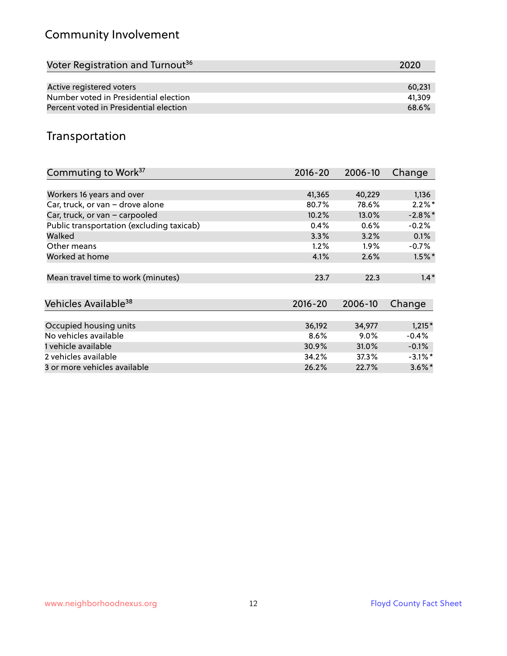# Community Involvement

| Voter Registration and Turnout <sup>36</sup> | 2020   |
|----------------------------------------------|--------|
|                                              |        |
| Active registered voters                     | 60.231 |
| Number voted in Presidential election        | 41.309 |
| Percent voted in Presidential election       | 68.6%  |

## Transportation

| Commuting to Work <sup>37</sup>           | 2016-20     | 2006-10 | Change               |
|-------------------------------------------|-------------|---------|----------------------|
|                                           |             |         |                      |
| Workers 16 years and over                 | 41,365      | 40,229  | 1,136                |
| Car, truck, or van - drove alone          | 80.7%       | 78.6%   | $2.2\%$ *            |
| Car, truck, or van - carpooled            | 10.2%       | 13.0%   | $-2.8\%$ *           |
| Public transportation (excluding taxicab) | 0.4%        | 0.6%    | $-0.2%$              |
| Walked                                    | 3.3%        | 3.2%    | 0.1%                 |
| Other means                               | 1.2%        | $1.9\%$ | $-0.7\%$             |
| Worked at home                            | 4.1%        | 2.6%    | $1.5\%$ *            |
|                                           |             |         |                      |
| Mean travel time to work (minutes)        | 23.7        | 22.3    | $1.4*$               |
|                                           |             |         |                      |
| Vehicles Available <sup>38</sup>          | $2016 - 20$ | 2006-10 | Change               |
|                                           |             |         |                      |
| Occupied housing units                    | 36,192      | 34,977  | $1,215*$             |
| No vehicles available                     | 8.6%        | $9.0\%$ | $-0.4%$              |
| 1 vehicle available                       | 30.9%       | 31.0%   | $-0.1%$              |
| 2 vehicles available                      | 34.2%       | 37.3%   | $-3.1\%$ *           |
| 3 or more vehicles available              | 26.2%       | 22.7%   | $3.6\%$ <sup>*</sup> |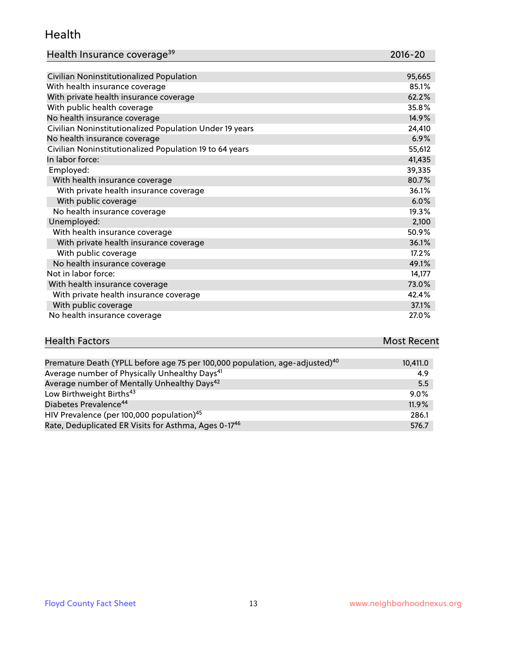#### Health

| Health Insurance coverage <sup>39</sup> | 2016-20 |
|-----------------------------------------|---------|
|-----------------------------------------|---------|

| Civilian Noninstitutionalized Population                | 95,665 |
|---------------------------------------------------------|--------|
| With health insurance coverage                          | 85.1%  |
| With private health insurance coverage                  | 62.2%  |
| With public health coverage                             | 35.8%  |
| No health insurance coverage                            | 14.9%  |
| Civilian Noninstitutionalized Population Under 19 years | 24,410 |
| No health insurance coverage                            | 6.9%   |
| Civilian Noninstitutionalized Population 19 to 64 years | 55,612 |
| In labor force:                                         | 41,435 |
| Employed:                                               | 39,335 |
| With health insurance coverage                          | 80.7%  |
| With private health insurance coverage                  | 36.1%  |
| With public coverage                                    | 6.0%   |
| No health insurance coverage                            | 19.3%  |
| Unemployed:                                             | 2,100  |
| With health insurance coverage                          | 50.9%  |
| With private health insurance coverage                  | 36.1%  |
| With public coverage                                    | 17.2%  |
| No health insurance coverage                            | 49.1%  |
| Not in labor force:                                     | 14,177 |
| With health insurance coverage                          | 73.0%  |
| With private health insurance coverage                  | 42.4%  |
| With public coverage                                    | 37.1%  |
| No health insurance coverage                            | 27.0%  |

| <b>Health Factors</b>                                                                   | <b>Most Recent</b> |
|-----------------------------------------------------------------------------------------|--------------------|
|                                                                                         |                    |
| Premature Death (YPLL before age 75 per 100,000 population, age-adjusted) <sup>40</sup> | 10.411.0           |

| <u>Fielilature Death (Tr. LL Deibie age 75 pei 100,000 population, age-aujusteu)</u> | 10, 411.0 |
|--------------------------------------------------------------------------------------|-----------|
| Average number of Physically Unhealthy Days <sup>41</sup>                            | 4.9       |
| Average number of Mentally Unhealthy Days <sup>42</sup>                              | 5.5       |
| Low Birthweight Births <sup>43</sup>                                                 | $9.0\%$   |
| Diabetes Prevalence <sup>44</sup>                                                    | 11.9%     |
| HIV Prevalence (per 100,000 population) <sup>45</sup>                                | 286.1     |
| Rate, Deduplicated ER Visits for Asthma, Ages 0-17 <sup>46</sup>                     | 576.7     |